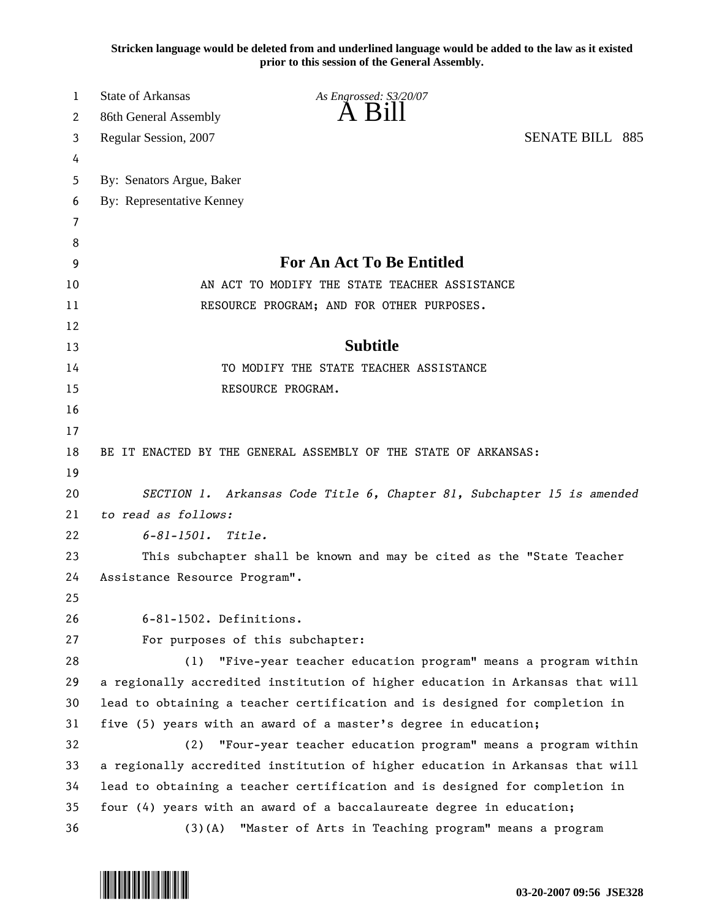**Stricken language would be deleted from and underlined language would be added to the law as it existed prior to this session of the General Assembly.**

| 1        | <b>State of Arkansas</b>      | As Engrossed: S3/20/07                                                        |  |
|----------|-------------------------------|-------------------------------------------------------------------------------|--|
| 2        | 86th General Assembly         | A B1                                                                          |  |
| 3        | Regular Session, 2007         | <b>SENATE BILL 885</b>                                                        |  |
| 4        |                               |                                                                               |  |
| 5        | By: Senators Argue, Baker     |                                                                               |  |
| 6        | By: Representative Kenney     |                                                                               |  |
| 7        |                               |                                                                               |  |
| 8        |                               |                                                                               |  |
| 9        |                               | <b>For An Act To Be Entitled</b>                                              |  |
| 10       |                               | AN ACT TO MODIFY THE STATE TEACHER ASSISTANCE                                 |  |
| 11       |                               | RESOURCE PROGRAM; AND FOR OTHER PURPOSES.                                     |  |
| 12       |                               |                                                                               |  |
| 13       |                               | <b>Subtitle</b>                                                               |  |
| 14       |                               | TO MODIFY THE STATE TEACHER ASSISTANCE                                        |  |
| 15       |                               | RESOURCE PROGRAM.                                                             |  |
| 16       |                               |                                                                               |  |
| 17       |                               |                                                                               |  |
| 18       |                               | BE IT ENACTED BY THE GENERAL ASSEMBLY OF THE STATE OF ARKANSAS:               |  |
| 19       |                               |                                                                               |  |
| 20       |                               | SECTION 1. Arkansas Code Title 6, Chapter 81, Subchapter 15 is amended        |  |
| 21       | to read as follows:           |                                                                               |  |
| 22       | $6 - 81 - 1501$ .<br>Title.   |                                                                               |  |
| 23       |                               | This subchapter shall be known and may be cited as the "State Teacher         |  |
| 24<br>25 | Assistance Resource Program". |                                                                               |  |
| 26       | 6-81-1502. Definitions.       |                                                                               |  |
| 27       |                               | For purposes of this subchapter:                                              |  |
| 28       | (1)                           | "Five-year teacher education program" means a program within                  |  |
| 29       |                               | a regionally accredited institution of higher education in Arkansas that will |  |
| 30       |                               | lead to obtaining a teacher certification and is designed for completion in   |  |
| 31       |                               | five (5) years with an award of a master's degree in education;               |  |
| 32       | (2)                           | "Four-year teacher education program" means a program within                  |  |
| 33       |                               | a regionally accredited institution of higher education in Arkansas that will |  |
| 34       |                               | lead to obtaining a teacher certification and is designed for completion in   |  |
| 35       |                               | four (4) years with an award of a baccalaureate degree in education;          |  |
| 36       | (3)(A)                        | "Master of Arts in Teaching program" means a program                          |  |

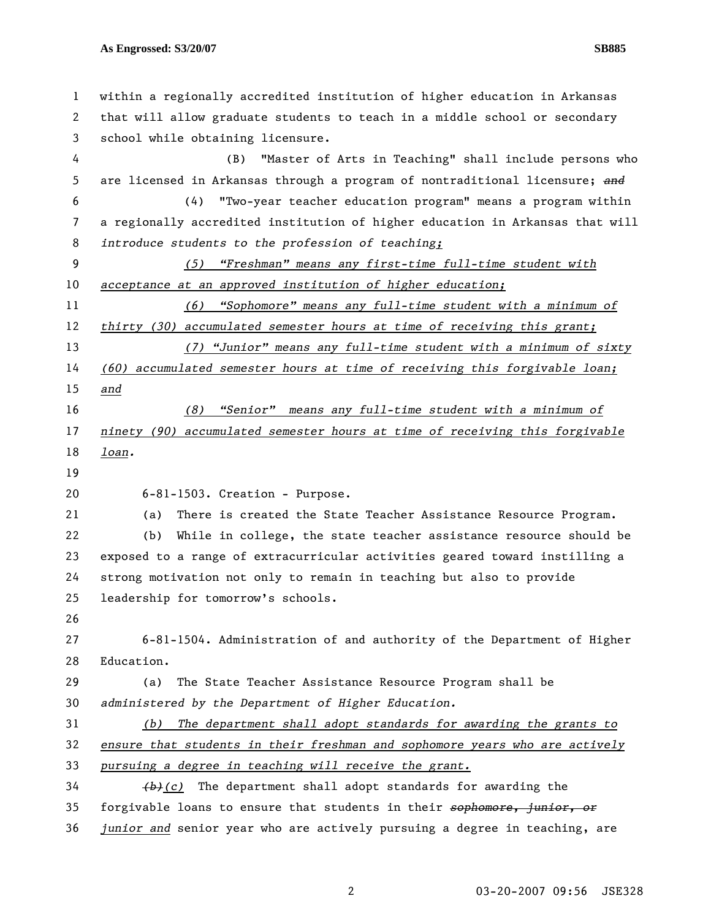1 within a regionally accredited institution of higher education in Arkansas 2 that will allow graduate students to teach in a middle school or secondary 3 school while obtaining licensure. 4 (B) "Master of Arts in Teaching" shall include persons who 5 are licensed in Arkansas through a program of nontraditional licensure; *and* 6 (4) "Two-year teacher education program" means a program within 7 a regionally accredited institution of higher education in Arkansas that will 8 *introduce students to the profession of teaching;* 9 *(5) "Freshman" means any first-time full-time student with*  10 *acceptance at an approved institution of higher education;* 11 *(6) "Sophomore" means any full-time student with a minimum of*  12 *thirty (30) accumulated semester hours at time of receiving this grant;* 13 *(7) "Junior" means any full-time student with a minimum of sixty*  14 *(60) accumulated semester hours at time of receiving this forgivable loan;*  15 *and* 16 *(8) "Senior" means any full-time student with a minimum of*  17 *ninety (90) accumulated semester hours at time of receiving this forgivable*  18 *loan.* 19 20 6-81-1503. Creation - Purpose. 21 (a) There is created the State Teacher Assistance Resource Program. 22 (b) While in college, the state teacher assistance resource should be 23 exposed to a range of extracurricular activities geared toward instilling a 24 strong motivation not only to remain in teaching but also to provide 25 leadership for tomorrow's schools. 26 27 6-81-1504. Administration of and authority of the Department of Higher 28 Education. 29 (a) The State Teacher Assistance Resource Program shall be 30 *administered by the Department of Higher Education.*  31 *(b) The department shall adopt standards for awarding the grants to*  32 *ensure that students in their freshman and sophomore years who are actively*  33 *pursuing a degree in teaching will receive the grant.* 34 *(b)(c)* The department shall adopt standards for awarding the 35 forgivable loans to ensure that students in their *sophomore, junior, or* 36 *junior and* senior year who are actively pursuing a degree in teaching, are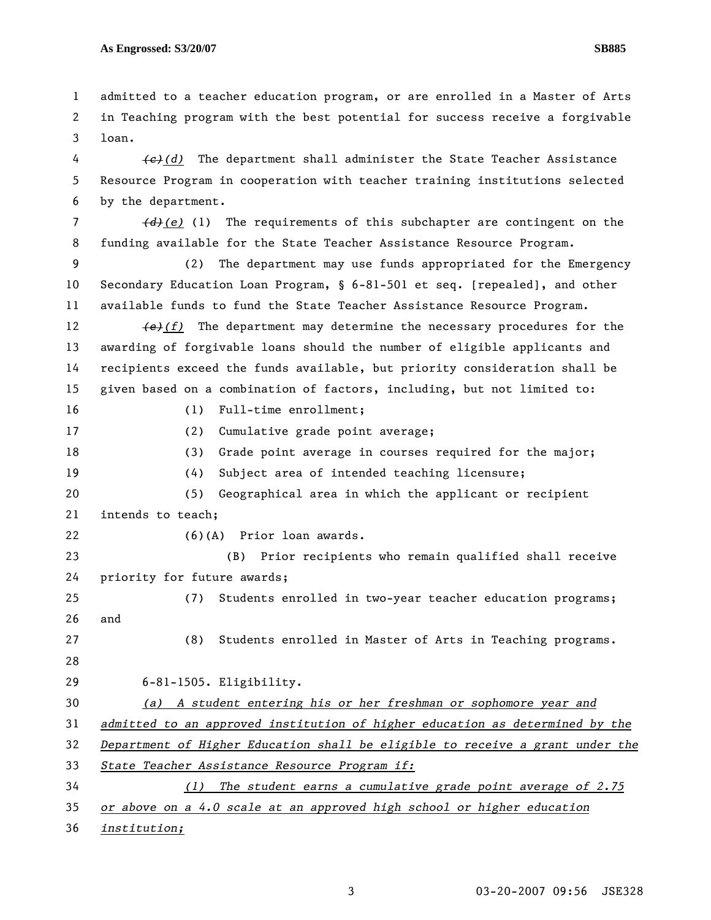1 admitted to a teacher education program, or are enrolled in a Master of Arts 2 in Teaching program with the best potential for success receive a forgivable 3 loan. 4 *(c)(d)* The department shall administer the State Teacher Assistance 5 Resource Program in cooperation with teacher training institutions selected 6 by the department. 7 *(d)(e)* (1) The requirements of this subchapter are contingent on the 8 funding available for the State Teacher Assistance Resource Program. 9 (2) The department may use funds appropriated for the Emergency 10 Secondary Education Loan Program, § 6-81-501 et seq. [repealed], and other 11 available funds to fund the State Teacher Assistance Resource Program. 12 *(e)(f)* The department may determine the necessary procedures for the 13 awarding of forgivable loans should the number of eligible applicants and 14 recipients exceed the funds available, but priority consideration shall be 15 given based on a combination of factors, including, but not limited to: 16 (1) Full-time enrollment; 17 (2) Cumulative grade point average; 18 (3) Grade point average in courses required for the major; 19 (4) Subject area of intended teaching licensure; 20 (5) Geographical area in which the applicant or recipient 21 intends to teach; 22 (6)(A) Prior loan awards. 23 (B) Prior recipients who remain qualified shall receive 24 priority for future awards; 25 (7) Students enrolled in two-year teacher education programs; 26 and 27 (8) Students enrolled in Master of Arts in Teaching programs. 28 29 6-81-1505. Eligibility. 30 *(a) A student entering his or her freshman or sophomore year and*  31 *admitted to an approved institution of higher education as determined by the*  32 *Department of Higher Education shall be eligible to receive a grant under the*  33 *State Teacher Assistance Resource Program if:* 34 *(1) The student earns a cumulative grade point average of 2.75*  35 *or above on a 4.0 scale at an approved high school or higher education*  36 *institution;*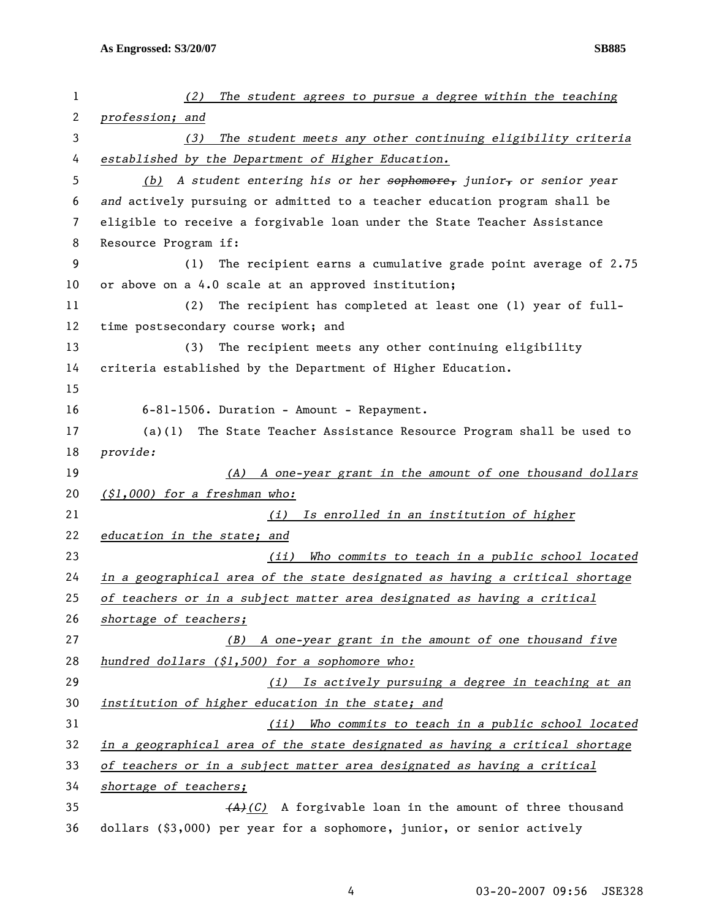| 1  | (2)<br>The student agrees to pursue a degree within the teaching             |
|----|------------------------------------------------------------------------------|
| 2  | profession; and                                                              |
| 3  | The student meets any other continuing eligibility criteria<br>(3)           |
| 4  | established by the Department of Higher Education.                           |
| 5  | (b) A student entering his or her sophomore, junior, or senior year          |
| 6  | and actively pursuing or admitted to a teacher education program shall be    |
| 7  | eligible to receive a forgivable loan under the State Teacher Assistance     |
| 8  | Resource Program if:                                                         |
| 9  | The recipient earns a cumulative grade point average of 2.75<br>(1)          |
| 10 | or above on a 4.0 scale at an approved institution;                          |
| 11 | The recipient has completed at least one (1) year of full-<br>(2)            |
| 12 | time postsecondary course work; and                                          |
| 13 | The recipient meets any other continuing eligibility<br>(3)                  |
| 14 | criteria established by the Department of Higher Education.                  |
| 15 |                                                                              |
| 16 | 6-81-1506. Duration - Amount - Repayment.                                    |
| 17 | $(a)(1)$ The State Teacher Assistance Resource Program shall be used to      |
| 18 | provide:                                                                     |
|    |                                                                              |
| 19 | (A) A one-year grant in the amount of one thousand dollars                   |
| 20 | $(51,000)$ for a freshman who:                                               |
| 21 | Is enrolled in an institution of higher<br>(i)                               |
| 22 | education in the state; and                                                  |
| 23 | Who commits to teach in a public school located<br>(ii)                      |
| 24 | in a geographical area of the state designated as having a critical shortage |
| 25 | of teachers or in a subject matter area designated as having a critical      |
| 26 | shortage of teachers;                                                        |
| 27 | A one-year grant in the amount of one thousand five<br>(B)                   |
| 28 | hundred dollars (\$1,500) for a sophomore who:                               |
| 29 | Is actively pursuing a degree in teaching at an<br>(i)                       |
| 30 | institution of higher education in the state; and                            |
| 31 | Who commits to teach in a public school located<br>(iii)                     |
| 32 | in a geographical area of the state designated as having a critical shortage |
| 33 | of teachers or in a subject matter area designated as having a critical      |
| 34 | shortage of teachers;                                                        |
| 35 | $(A)$ (C) A forgivable loan in the amount of three thousand                  |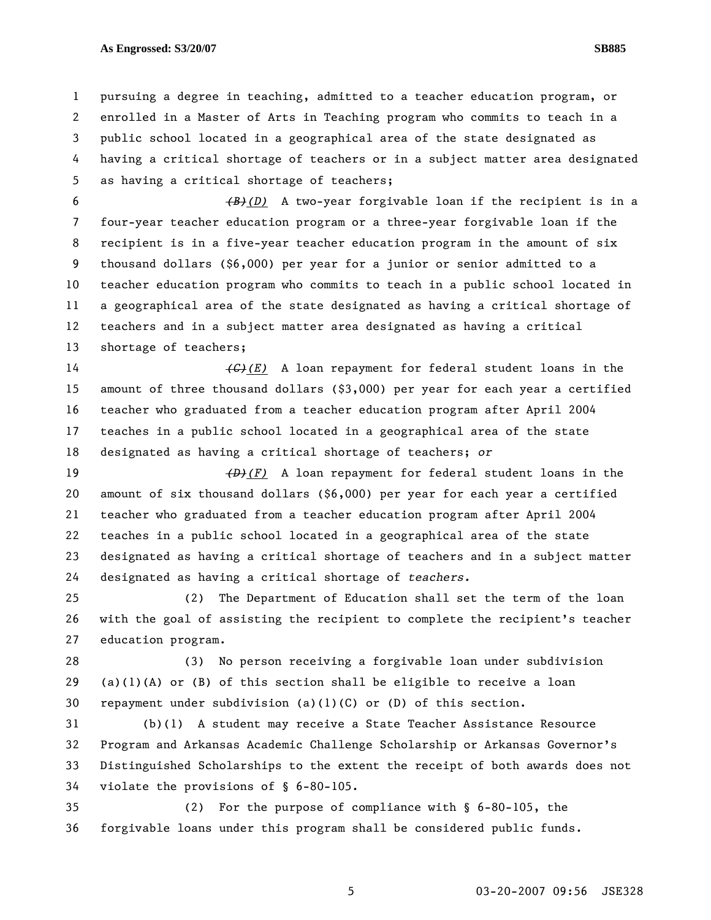1 pursuing a degree in teaching, admitted to a teacher education program, or 2 enrolled in a Master of Arts in Teaching program who commits to teach in a 3 public school located in a geographical area of the state designated as 4 having a critical shortage of teachers or in a subject matter area designated 5 as having a critical shortage of teachers;

6 *(B)(D)* A two-year forgivable loan if the recipient is in a 7 four-year teacher education program or a three-year forgivable loan if the 8 recipient is in a five-year teacher education program in the amount of six 9 thousand dollars (\$6,000) per year for a junior or senior admitted to a 10 teacher education program who commits to teach in a public school located in 11 a geographical area of the state designated as having a critical shortage of 12 teachers and in a subject matter area designated as having a critical 13 shortage of teachers;

14 *(C)(E)* A loan repayment for federal student loans in the 15 amount of three thousand dollars (\$3,000) per year for each year a certified 16 teacher who graduated from a teacher education program after April 2004 17 teaches in a public school located in a geographical area of the state 18 designated as having a critical shortage of teachers; *or*

19 *(D)(F)* A loan repayment for federal student loans in the 20 amount of six thousand dollars (\$6,000) per year for each year a certified 21 teacher who graduated from a teacher education program after April 2004 22 teaches in a public school located in a geographical area of the state 23 designated as having a critical shortage of teachers and in a subject matter 24 designated as having a critical shortage of *teachers.*

25 (2) The Department of Education shall set the term of the loan 26 with the goal of assisting the recipient to complete the recipient's teacher 27 education program.

28 (3) No person receiving a forgivable loan under subdivision 29 (a)(1)(A) or (B) of this section shall be eligible to receive a loan 30 repayment under subdivision (a)(1)(C) or (D) of this section.

31 (b)(1) A student may receive a State Teacher Assistance Resource 32 Program and Arkansas Academic Challenge Scholarship or Arkansas Governor's 33 Distinguished Scholarships to the extent the receipt of both awards does not 34 violate the provisions of § 6-80-105.

35 (2) For the purpose of compliance with § 6-80-105, the 36 forgivable loans under this program shall be considered public funds.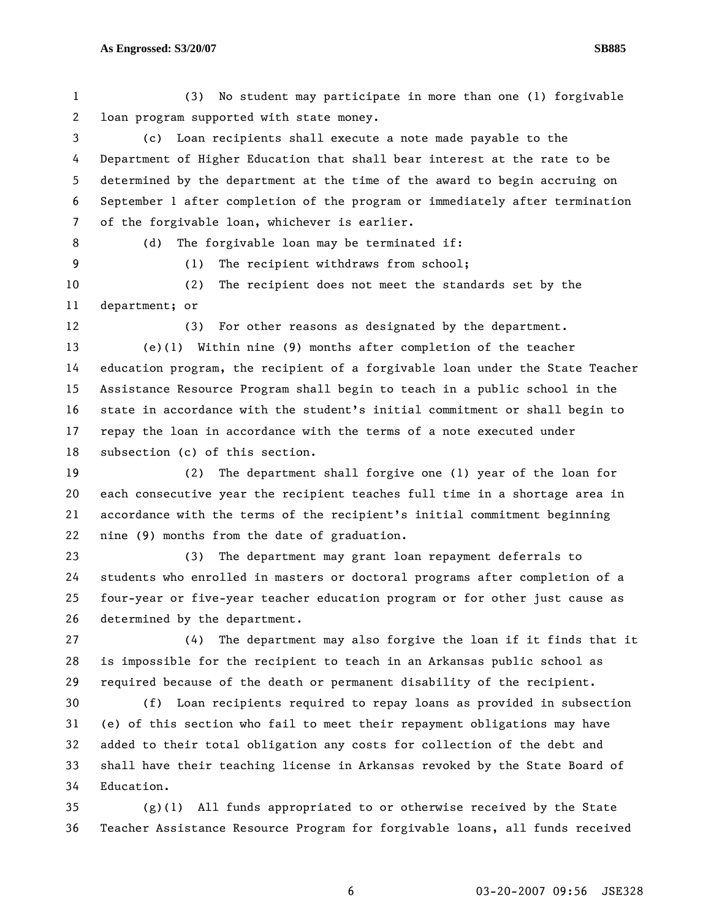1 (3) No student may participate in more than one (1) forgivable 2 loan program supported with state money.

3 (c) Loan recipients shall execute a note made payable to the 4 Department of Higher Education that shall bear interest at the rate to be 5 determined by the department at the time of the award to begin accruing on 6 September 1 after completion of the program or immediately after termination 7 of the forgivable loan, whichever is earlier.

8 (d) The forgivable loan may be terminated if:

9 (1) The recipient withdraws from school;

10 (2) The recipient does not meet the standards set by the 11 department; or

12 (3) For other reasons as designated by the department.

13 (e)(1) Within nine (9) months after completion of the teacher 14 education program, the recipient of a forgivable loan under the State Teacher 15 Assistance Resource Program shall begin to teach in a public school in the 16 state in accordance with the student's initial commitment or shall begin to 17 repay the loan in accordance with the terms of a note executed under 18 subsection (c) of this section.

19 (2) The department shall forgive one (1) year of the loan for 20 each consecutive year the recipient teaches full time in a shortage area in 21 accordance with the terms of the recipient's initial commitment beginning 22 nine (9) months from the date of graduation.

23 (3) The department may grant loan repayment deferrals to 24 students who enrolled in masters or doctoral programs after completion of a 25 four-year or five-year teacher education program or for other just cause as 26 determined by the department.

27 (4) The department may also forgive the loan if it finds that it 28 is impossible for the recipient to teach in an Arkansas public school as 29 required because of the death or permanent disability of the recipient.

30 (f) Loan recipients required to repay loans as provided in subsection 31 (e) of this section who fail to meet their repayment obligations may have 32 added to their total obligation any costs for collection of the debt and 33 shall have their teaching license in Arkansas revoked by the State Board of 34 Education.

35 (g)(1) All funds appropriated to or otherwise received by the State 36 Teacher Assistance Resource Program for forgivable loans, all funds received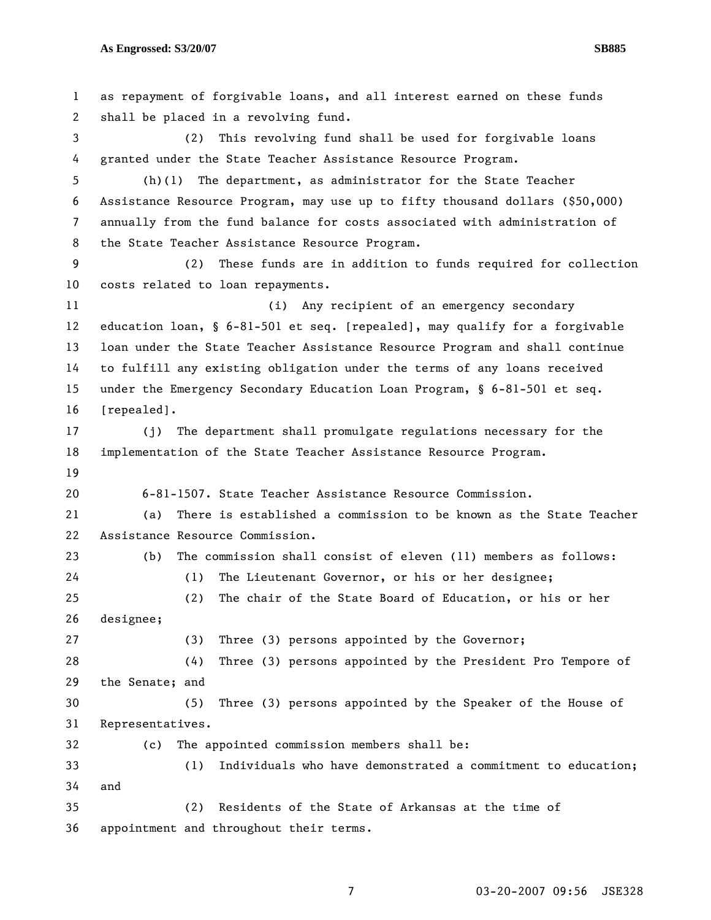1 as repayment of forgivable loans, and all interest earned on these funds 2 shall be placed in a revolving fund. 3 (2) This revolving fund shall be used for forgivable loans 4 granted under the State Teacher Assistance Resource Program. 5 (h)(1) The department, as administrator for the State Teacher 6 Assistance Resource Program, may use up to fifty thousand dollars (\$50,000) 7 annually from the fund balance for costs associated with administration of 8 the State Teacher Assistance Resource Program. 9 (2) These funds are in addition to funds required for collection 10 costs related to loan repayments. 11 (i) Any recipient of an emergency secondary 12 education loan, § 6-81-501 et seq. [repealed], may qualify for a forgivable 13 loan under the State Teacher Assistance Resource Program and shall continue 14 to fulfill any existing obligation under the terms of any loans received 15 under the Emergency Secondary Education Loan Program, § 6-81-501 et seq. 16 [repealed]. 17 (j) The department shall promulgate regulations necessary for the 18 implementation of the State Teacher Assistance Resource Program. 19 20 6-81-1507. State Teacher Assistance Resource Commission. 21 (a) There is established a commission to be known as the State Teacher 22 Assistance Resource Commission. 23 (b) The commission shall consist of eleven (11) members as follows: 24 (1) The Lieutenant Governor, or his or her designee; 25 (2) The chair of the State Board of Education, or his or her 26 designee; 27 (3) Three (3) persons appointed by the Governor; 28 (4) Three (3) persons appointed by the President Pro Tempore of 29 the Senate; and 30 (5) Three (3) persons appointed by the Speaker of the House of 31 Representatives. 32 (c) The appointed commission members shall be: 33 (1) Individuals who have demonstrated a commitment to education; 34 and 35 (2) Residents of the State of Arkansas at the time of 36 appointment and throughout their terms.